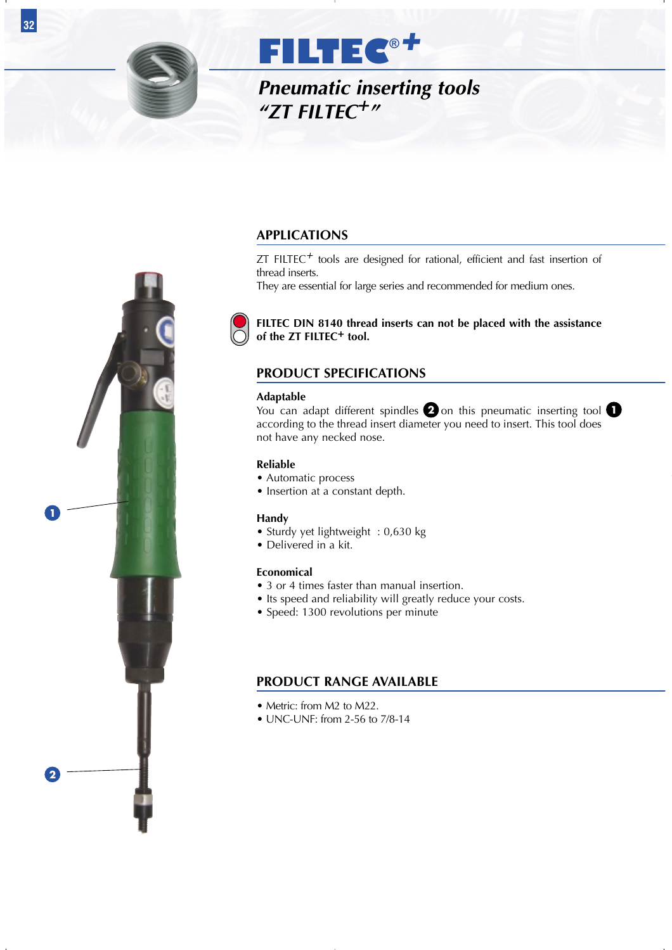

*Pneumatic inserting tools "ZT FILTEC+"*

# **APPLICATIONS**

ZT FILTEC*+* tools are designed for rational, efficient and fast insertion of thread inserts.

They are essential for large series and recommended for medium ones.



**FILTEC DIN 8140 thread inserts can not be placed with the assistance of the ZT FILTEC+ tool.**

# **PRODUCT SPECIFICATIONS**

#### **Adaptable**

You can adapt different spindles  $\bullet$  on this pneumatic inserting tool according to the thread insert diameter you need to insert. This tool does not have any necked nose.

### **Reliable**

- Automatic process
- Insertion at a constant depth.

### **Handy**

- Sturdy yet lightweight : 0,630 kg
- Delivered in a kit.

### **Economical**

- 3 or 4 times faster than manual insertion.
- Its speed and reliability will greatly reduce your costs.
- Speed: 1300 revolutions per minute

# **PRODUCT RANGE AVAILABLE**

- Metric: from M2 to M22.
- UNC-UNF: from 2-56 to 7/8-14